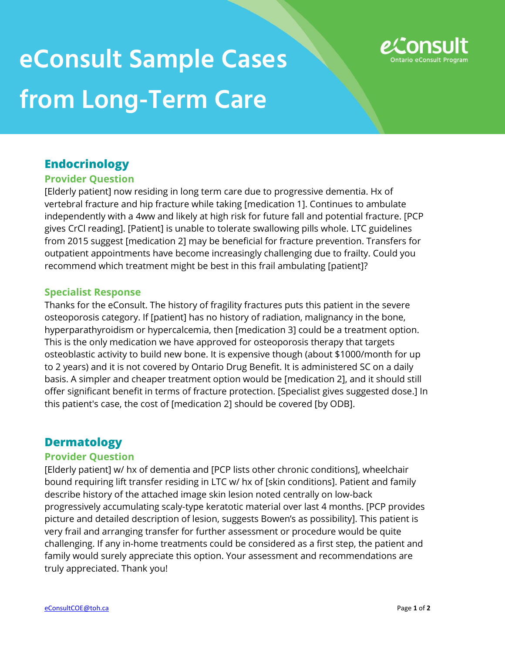# **eConsult Sample Cases from Long-Term Care**



## **Endocrinology**

#### **Provider Question**

[Elderly patient] now residing in long term care due to progressive dementia. Hx of vertebral fracture and hip fracture while taking [medication 1]. Continues to ambulate independently with a 4ww and likely at high risk for future fall and potential fracture. [PCP gives CrCl reading]. [Patient] is unable to tolerate swallowing pills whole. LTC guidelines from 2015 suggest [medication 2] may be beneficial for fracture prevention. Transfers for outpatient appointments have become increasingly challenging due to frailty. Could you recommend which treatment might be best in this frail ambulating [patient]?

#### **Specialist Response**

Thanks for the eConsult. The history of fragility fractures puts this patient in the severe osteoporosis category. If [patient] has no history of radiation, malignancy in the bone, hyperparathyroidism or hypercalcemia, then [medication 3] could be a treatment option. This is the only medication we have approved for osteoporosis therapy that targets osteoblastic activity to build new bone. It is expensive though (about \$1000/month for up to 2 years) and it is not covered by Ontario Drug Benefit. It is administered SC on a daily basis. A simpler and cheaper treatment option would be [medication 2], and it should still offer significant benefit in terms of fracture protection. [Specialist gives suggested dose.] In this patient's case, the cost of [medication 2] should be covered [by ODB].

# **Dermatology**

#### **Provider Question**

[Elderly patient] w/ hx of dementia and [PCP lists other chronic conditions], wheelchair bound requiring lift transfer residing in LTC w/ hx of [skin conditions]. Patient and family describe history of the attached image skin lesion noted centrally on low-back progressively accumulating scaly-type keratotic material over last 4 months. [PCP provides picture and detailed description of lesion, suggests Bowen's as possibility]. This patient is very frail and arranging transfer for further assessment or procedure would be quite challenging. If any in-home treatments could be considered as a first step, the patient and family would surely appreciate this option. Your assessment and recommendations are truly appreciated. Thank you!